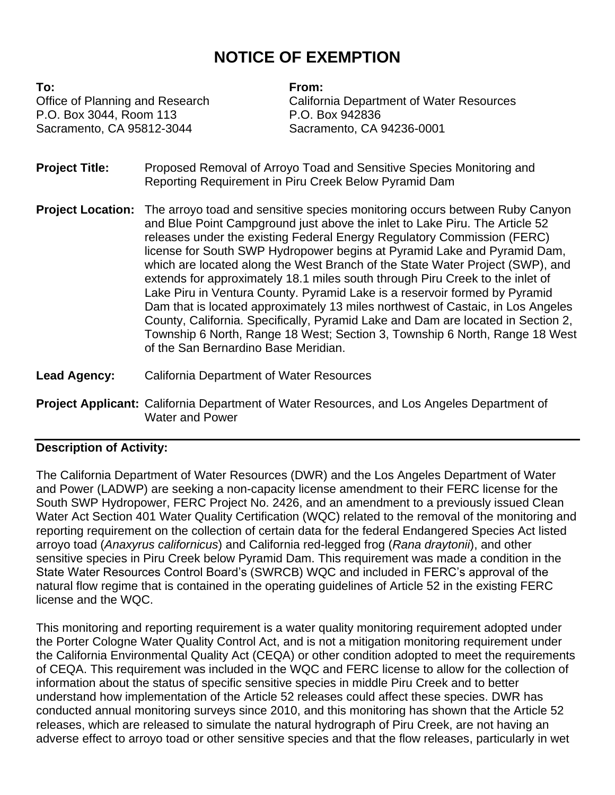## **NOTICE OF EXEMPTION**

**To: From:** P.O. Box 3044, Room 113 P.O. Box 942836 Sacramento, CA 95812-3044 Sacramento, CA 94236-0001

Office of Planning and Research California Department of Water Resources

- **Project Title:** Proposed Removal of Arroyo Toad and Sensitive Species Monitoring and Reporting Requirement in Piru Creek Below Pyramid Dam
- **Project Location:** The arroyo toad and sensitive species monitoring occurs between Ruby Canyon and Blue Point Campground just above the inlet to Lake Piru. The Article 52 releases under the existing Federal Energy Regulatory Commission (FERC) license for South SWP Hydropower begins at Pyramid Lake and Pyramid Dam, which are located along the West Branch of the State Water Project (SWP), and extends for approximately 18.1 miles south through Piru Creek to the inlet of Lake Piru in Ventura County. Pyramid Lake is a reservoir formed by Pyramid Dam that is located approximately 13 miles northwest of Castaic, in Los Angeles County, California. Specifically, Pyramid Lake and Dam are located in Section 2, Township 6 North, Range 18 West; Section 3, Township 6 North, Range 18 West of the San Bernardino Base Meridian.
- **Lead Agency:** California Department of Water Resources
- **Project Applicant:** California Department of Water Resources, and Los Angeles Department of Water and Power

## **Description of Activity:**

The California Department of Water Resources (DWR) and the Los Angeles Department of Water and Power (LADWP) are seeking a non-capacity license amendment to their FERC license for the South SWP Hydropower, FERC Project No. 2426, and an amendment to a previously issued Clean Water Act Section 401 Water Quality Certification (WQC) related to the removal of the monitoring and reporting requirement on the collection of certain data for the federal Endangered Species Act listed arroyo toad (*Anaxyrus californicus*) and California red-legged frog (*Rana draytonii*), and other sensitive species in Piru Creek below Pyramid Dam. This requirement was made a condition in the State Water Resources Control Board's (SWRCB) WQC and included in FERC's approval of the natural flow regime that is contained in the operating guidelines of Article 52 in the existing FERC license and the WQC.

This monitoring and reporting requirement is a water quality monitoring requirement adopted under the Porter Cologne Water Quality Control Act, and is not a mitigation monitoring requirement under the California Environmental Quality Act (CEQA) or other condition adopted to meet the requirements of CEQA. This requirement was included in the WQC and FERC license to allow for the collection of information about the status of specific sensitive species in middle Piru Creek and to better understand how implementation of the Article 52 releases could affect these species. DWR has conducted annual monitoring surveys since 2010, and this monitoring has shown that the Article 52 releases, which are released to simulate the natural hydrograph of Piru Creek, are not having an adverse effect to arroyo toad or other sensitive species and that the flow releases, particularly in wet